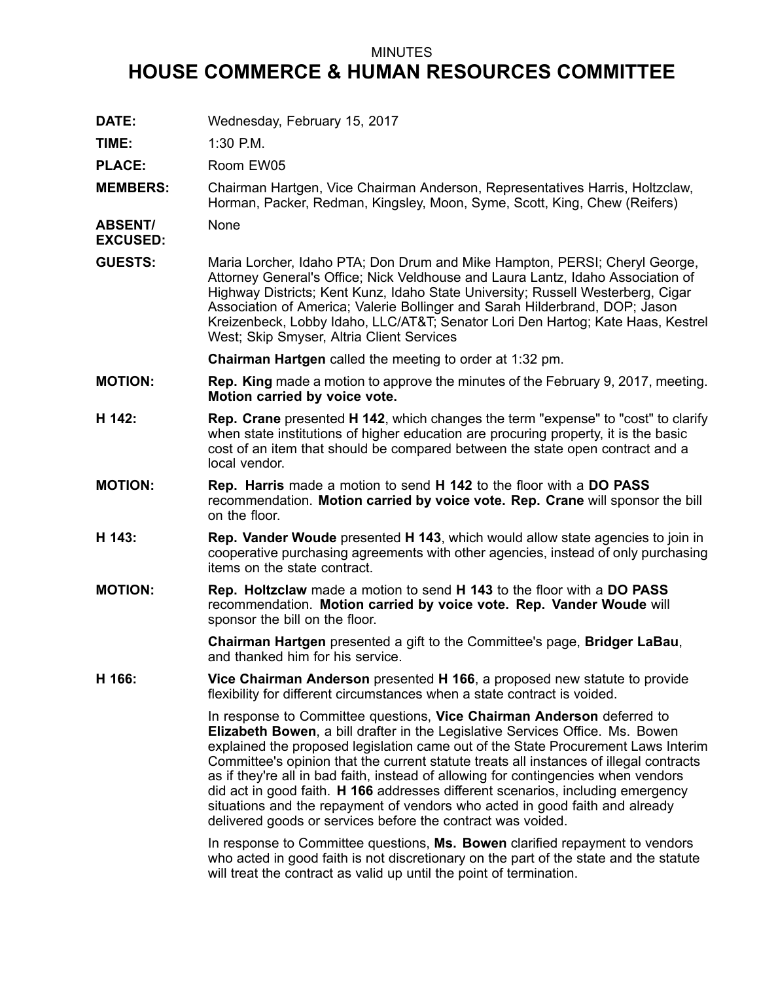## MINUTES

## **HOUSE COMMERCE & HUMAN RESOURCES COMMITTEE**

**DATE:** Wednesday, February 15, 2017

**TIME:** 1:30 P.M.

PLACE: Room EW05

**MEMBERS:** Chairman Hartgen, Vice Chairman Anderson, Representatives Harris, Holtzclaw, Horman, Packer, Redman, Kingsley, Moon, Syme, Scott, King, Chew (Reifers)

**ABSENT/ EXCUSED:** None

**GUESTS:** Maria Lorcher, Idaho PTA; Don Drum and Mike Hampton, PERSI; Cheryl George, Attorney General's Office; Nick Veldhouse and Laura Lantz, Idaho Association of Highway Districts; Kent Kunz, Idaho State University; Russell Westerberg, Cigar Association of America; Valerie Bollinger and Sarah Hilderbrand, DOP; Jason Kreizenbeck, Lobby Idaho, LLC/AT&T; Senator Lori Den Hartog; Kate Haas, Kestrel West; Skip Smyser, Altria Client Services

**Chairman Hartgen** called the meeting to order at 1:32 pm.

- **MOTION: Rep. King** made <sup>a</sup> motion to approve the minutes of the February 9, 2017, meeting. **Motion carried by voice vote.**
- **H 142: Rep. Crane** presented **H 142**, which changes the term "expense" to "cost" to clarify when state institutions of higher education are procuring property, it is the basic cost of an item that should be compared between the state open contract and <sup>a</sup> local vendor.
- **MOTION: Rep. Harris** made <sup>a</sup> motion to send **H 142** to the floor with <sup>a</sup> **DO PASS** recommendation. **Motion carried by voice vote. Rep. Crane** will sponsor the bill on the floor.
- **H 143: Rep. Vander Woude** presented **H 143**, which would allow state agencies to join in cooperative purchasing agreements with other agencies, instead of only purchasing items on the state contract.
- **MOTION: Rep. Holtzclaw** made <sup>a</sup> motion to send **H 143** to the floor with <sup>a</sup> **DO PASS** recommendation. **Motion carried by voice vote. Rep. Vander Woude** will sponsor the bill on the floor.

**Chairman Hartgen** presented <sup>a</sup> gift to the Committee's page, **Bridger LaBau**, and thanked him for his service.

**H 166: Vice Chairman Anderson** presented **H 166**, <sup>a</sup> proposed new statute to provide flexibility for different circumstances when <sup>a</sup> state contract is voided.

> In response to Committee questions, **Vice Chairman Anderson** deferred to **Elizabeth Bowen**, <sup>a</sup> bill drafter in the Legislative Services Office. Ms. Bowen explained the proposed legislation came out of the State Procurement Laws Interim Committee's opinion that the current statute treats all instances of illegal contracts as if they're all in bad faith, instead of allowing for contingencies when vendors did act in good faith. **H 166** addresses different scenarios, including emergency situations and the repayment of vendors who acted in good faith and already delivered goods or services before the contract was voided.

In response to Committee questions, **Ms. Bowen** clarified repayment to vendors who acted in good faith is not discretionary on the part of the state and the statute will treat the contract as valid up until the point of termination.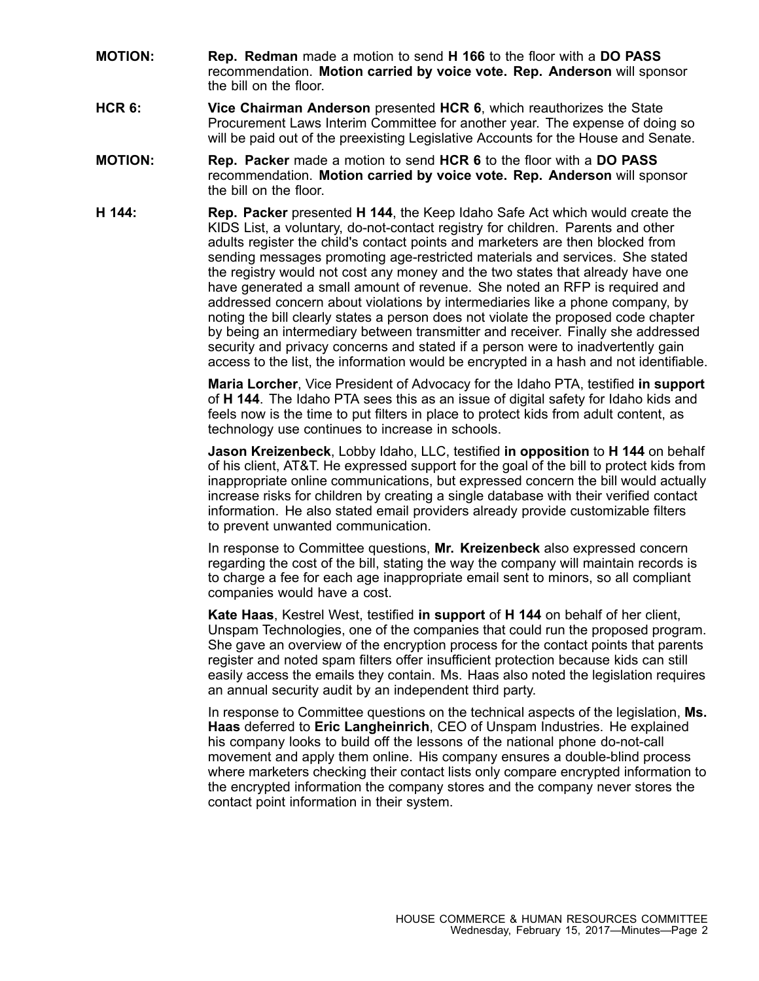- **MOTION: Rep. Redman** made <sup>a</sup> motion to send **H 166** to the floor with <sup>a</sup> **DO PASS** recommendation. **Motion carried by voice vote. Rep. Anderson** will sponsor the bill on the floor.
- **HCR 6: Vice Chairman Anderson** presented **HCR 6**, which reauthorizes the State Procurement Laws Interim Committee for another year. The expense of doing so will be paid out of the preexisting Legislative Accounts for the House and Senate.
- **MOTION: Rep. Packer** made <sup>a</sup> motion to send **HCR 6** to the floor with <sup>a</sup> **DO PASS** recommendation. **Motion carried by voice vote. Rep. Anderson** will sponsor the bill on the floor.
- **H 144: Rep. Packer** presented **H 144**, the Keep Idaho Safe Act which would create the KIDS List, <sup>a</sup> voluntary, do-not-contact registry for children. Parents and other adults register the child's contact points and marketers are then blocked from sending messages promoting age-restricted materials and services. She stated the registry would not cost any money and the two states that already have one have generated <sup>a</sup> small amount of revenue. She noted an RFP is required and addressed concern about violations by intermediaries like <sup>a</sup> phone company, by noting the bill clearly states <sup>a</sup> person does not violate the proposed code chapter by being an intermediary between transmitter and receiver. Finally she addressed security and privacy concerns and stated if <sup>a</sup> person were to inadvertently gain access to the list, the information would be encrypted in <sup>a</sup> hash and not identifiable.

**Maria Lorcher**, Vice President of Advocacy for the Idaho PTA, testified **in support** of **H 144**. The Idaho PTA sees this as an issue of digital safety for Idaho kids and feels now is the time to put filters in place to protect kids from adult content, as technology use continues to increase in schools.

**Jason Kreizenbeck**, Lobby Idaho, LLC, testified **in opposition** to **H 144** on behalf of his client, AT&T. He expressed support for the goal of the bill to protect kids from inappropriate online communications, but expressed concern the bill would actually increase risks for children by creating <sup>a</sup> single database with their verified contact information. He also stated email providers already provide customizable filters to prevent unwanted communication.

In response to Committee questions, **Mr. Kreizenbeck** also expressed concern regarding the cost of the bill, stating the way the company will maintain records is to charge <sup>a</sup> fee for each age inappropriate email sent to minors, so all compliant companies would have <sup>a</sup> cost.

**Kate Haas**, Kestrel West, testified **in support** of **H 144** on behalf of her client, Unspam Technologies, one of the companies that could run the proposed program. She gave an overview of the encryption process for the contact points that parents register and noted spam filters offer insufficient protection because kids can still easily access the emails they contain. Ms. Haas also noted the legislation requires an annual security audit by an independent third party.

In response to Committee questions on the technical aspects of the legislation, **Ms. Haas** deferred to **Eric Langheinrich**, CEO of Unspam Industries. He explained his company looks to build off the lessons of the national phone do-not-call movement and apply them online. His company ensures <sup>a</sup> double-blind process where marketers checking their contact lists only compare encrypted information to the encrypted information the company stores and the company never stores the contact point information in their system.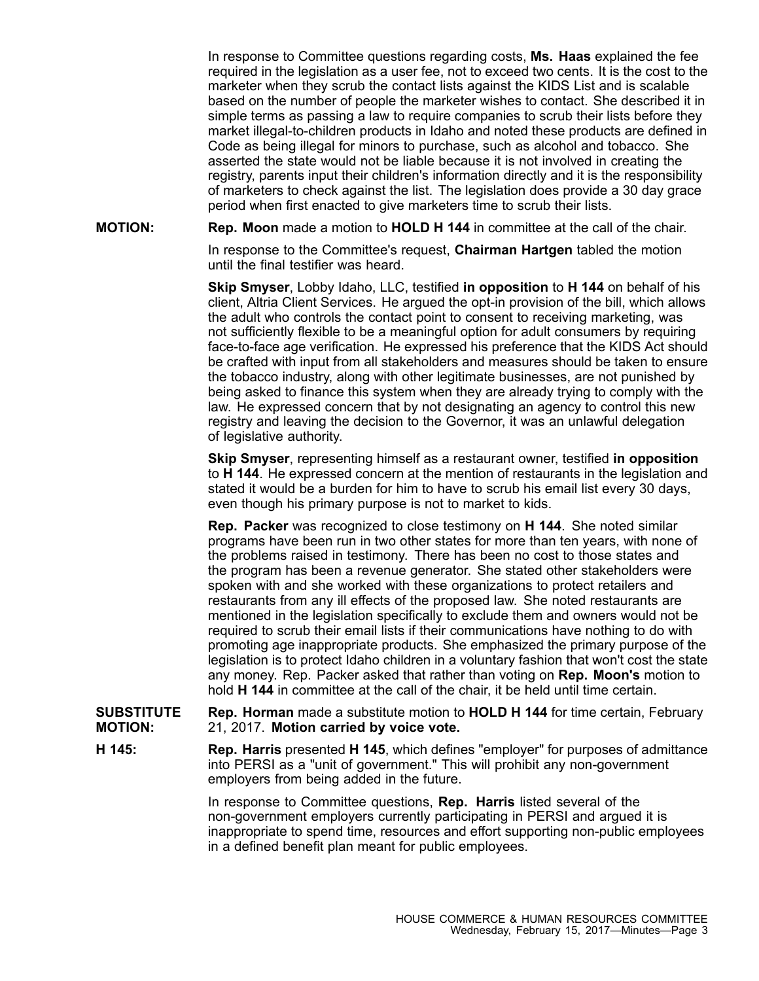In response to Committee questions regarding costs, **Ms. Haas** explained the fee required in the legislation as <sup>a</sup> user fee, not to exceed two cents. It is the cost to the marketer when they scrub the contact lists against the KIDS List and is scalable based on the number of people the marketer wishes to contact. She described it in simple terms as passing <sup>a</sup> law to require companies to scrub their lists before they market illegal-to-children products in Idaho and noted these products are defined in Code as being illegal for minors to purchase, such as alcohol and tobacco. She asserted the state would not be liable because it is not involved in creating the registry, parents input their children's information directly and it is the responsibility of marketers to check against the list. The legislation does provide <sup>a</sup> 30 day grace period when first enacted to give marketers time to scrub their lists.

**MOTION: Rep. Moon** made <sup>a</sup> motion to **HOLD H 144** in committee at the call of the chair.

In response to the Committee's request, **Chairman Hartgen** tabled the motion until the final testifier was heard.

**Skip Smyser**, Lobby Idaho, LLC, testified **in opposition** to **H 144** on behalf of his client, Altria Client Services. He argued the opt-in provision of the bill, which allows the adult who controls the contact point to consent to receiving marketing, was not sufficiently flexible to be <sup>a</sup> meaningful option for adult consumers by requiring face-to-face age verification. He expressed his preference that the KIDS Act should be crafted with input from all stakeholders and measures should be taken to ensure the tobacco industry, along with other legitimate businesses, are not punished by being asked to finance this system when they are already trying to comply with the law. He expressed concern that by not designating an agency to control this new registry and leaving the decision to the Governor, it was an unlawful delegation of legislative authority.

**Skip Smyser**, representing himself as <sup>a</sup> restaurant owner, testified **in opposition** to **H 144**. He expressed concern at the mention of restaurants in the legislation and stated it would be <sup>a</sup> burden for him to have to scrub his email list every 30 days, even though his primary purpose is not to market to kids.

**Rep. Packer** was recognized to close testimony on **H 144**. She noted similar programs have been run in two other states for more than ten years, with none of the problems raised in testimony. There has been no cost to those states and the program has been <sup>a</sup> revenue generator. She stated other stakeholders were spoken with and she worked with these organizations to protect retailers and restaurants from any ill effects of the proposed law. She noted restaurants are mentioned in the legislation specifically to exclude them and owners would not be required to scrub their email lists if their communications have nothing to do with promoting age inappropriate products. She emphasized the primary purpose of the legislation is to protect Idaho children in <sup>a</sup> voluntary fashion that won't cost the state any money. Rep. Packer asked that rather than voting on **Rep. Moon's** motion to hold **H 144** in committee at the call of the chair, it be held until time certain.

**SUBSTITUTE MOTION: Rep. Horman** made <sup>a</sup> substitute motion to **HOLD H 144** for time certain, February 21, 2017. **Motion carried by voice vote.**

**H 145: Rep. Harris** presented **H 145**, which defines "employer" for purposes of admittance into PERSI as <sup>a</sup> "unit of government." This will prohibit any non-government employers from being added in the future.

> In response to Committee questions, **Rep. Harris** listed several of the non-government employers currently participating in PERSI and argued it is inappropriate to spend time, resources and effort supporting non-public employees in <sup>a</sup> defined benefit plan meant for public employees.